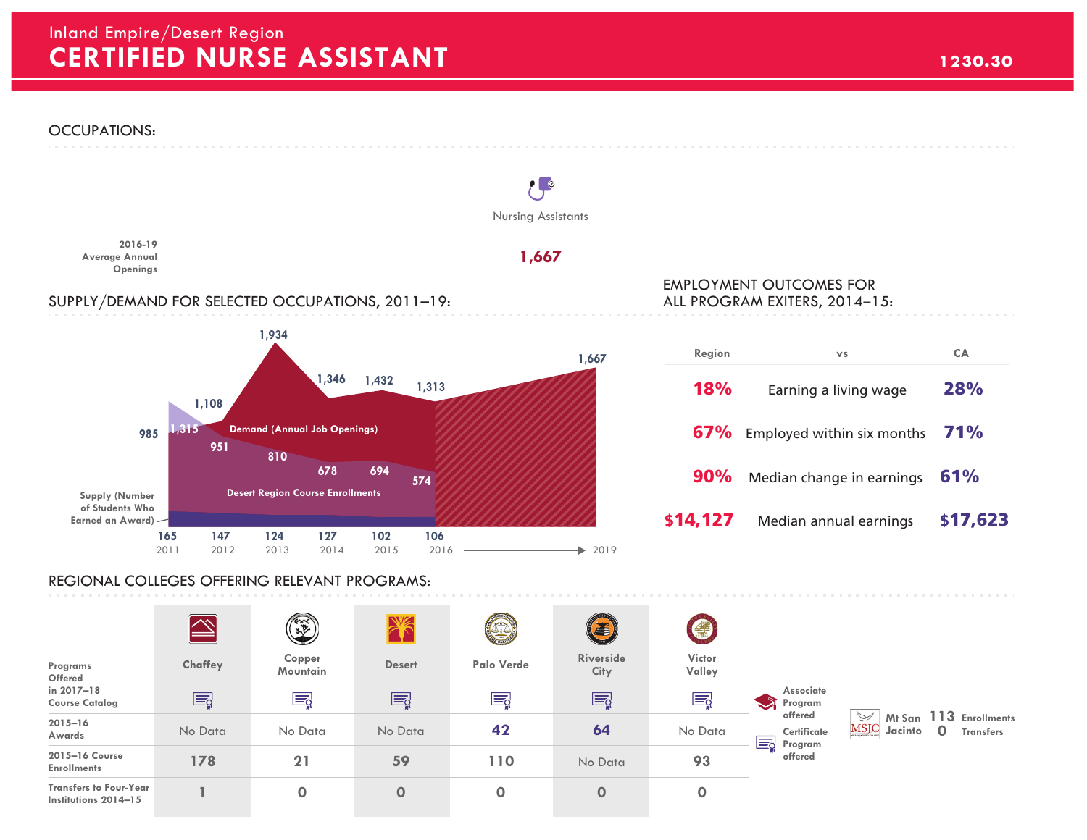# **CERTIFIED NURSE ASSISTANT 1230.30** Inland Empire/Desert Region



#### REGIONAL COLLEGES OFFERING RELEVANT PROGRAMS:

|                                                       |         | <b>CERT</b>        |               | $\sim$<br>S | <b>(F)</b>        | $\bigcirc$       |                                                                                         |                                      |              |                                            |
|-------------------------------------------------------|---------|--------------------|---------------|-------------|-------------------|------------------|-----------------------------------------------------------------------------------------|--------------------------------------|--------------|--------------------------------------------|
| Programs<br>Offered                                   | Chaffey | Copper<br>Mountain | <b>Desert</b> | Palo Verde  | Riverside<br>City | Victor<br>Valley | Associate<br>$\bullet$<br>Program<br>offered<br>Certificate<br>Ed<br>Program<br>offered | $\searrow$<br><b>MSJC</b><br>Jacinto |              | Mt San 113 Enrollments<br><b>Transfers</b> |
| in 2017-18<br><b>Course Catalog</b>                   | Ę       | Ę                  | Ę             | Eg          | Ę                 | E                |                                                                                         |                                      |              |                                            |
| $2015 - 16$<br>Awards                                 | No Data | No Data            | No Data       | 42          | 64                | No Data          |                                                                                         |                                      | $\mathbf{0}$ |                                            |
| 2015-16 Course<br><b>Enrollments</b>                  | 178     | 21                 | 59            | 110         | No Data           | 93               |                                                                                         |                                      |              |                                            |
| <b>Transfers to Four-Year</b><br>Institutions 2014-15 |         | 0                  | $\mathbf 0$   | 0           | $\mathbf 0$       | $\mathbf 0$      |                                                                                         |                                      |              |                                            |

## EMPLOYMENT OUTCOMES FOR ALL PROGRAM EXITERS, 2014–15:

| Region     | <b>VS</b>                             | CA         |
|------------|---------------------------------------|------------|
| <b>18%</b> | Earning a living wage                 | 28%        |
|            | <b>67%</b> Employed within six months | <b>71%</b> |
| 90%        | Median change in earnings             | 61%        |
| \$14,127   | Median annual earnings                | \$17,623   |